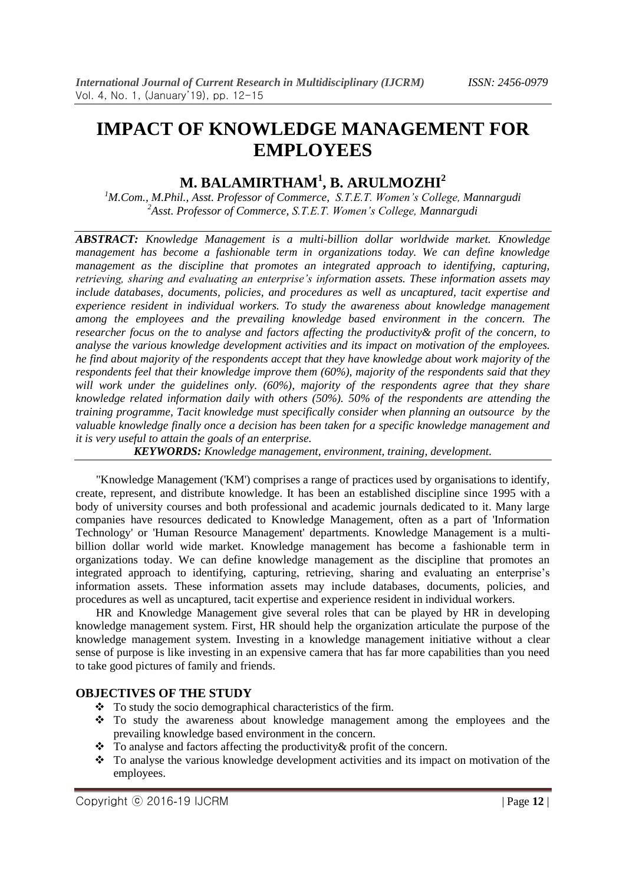# **IMPACT OF KNOWLEDGE MANAGEMENT FOR EMPLOYEES**

## **M. BALAMIRTHAM<sup>1</sup> , B. ARULMOZHI<sup>2</sup>**

*<sup>1</sup>M.Com., M.Phil., Asst. Professor of Commerce, S.T.E.T. Women's College, Mannargudi <sup>2</sup>Asst. Professor of Commerce, S.T.E.T. Women's College, Mannargudi* 

*ABSTRACT: Knowledge Management is a multi-billion dollar worldwide market. Knowledge management has become a fashionable term in organizations today. We can define knowledge management as the discipline that promotes an integrated approach to identifying, capturing, retrieving, sharing and evaluating an enterprise's information assets. These information assets may include databases, documents, policies, and procedures as well as uncaptured, tacit expertise and experience resident in individual workers. To study the awareness about knowledge management among the employees and the prevailing knowledge based environment in the concern. The researcher focus on the to analyse and factors affecting the productivity& profit of the concern, to analyse the various knowledge development activities and its impact on motivation of the employees. he find about majority of the respondents accept that they have knowledge about work majority of the respondents feel that their knowledge improve them (60%), majority of the respondents said that they will work under the guidelines only. (60%), majority of the respondents agree that they share knowledge related information daily with others (50%). 50% of the respondents are attending the training programme, Tacit knowledge must specifically consider when planning an outsource by the valuable knowledge finally once a decision has been taken for a specific knowledge management and it is very useful to attain the goals of an enterprise.*

*KEYWORDS: Knowledge management, environment, training, development.*

 "Knowledge Management ('KM') comprises a range of practices used by organisations to identify, create, represent, and distribute knowledge. It has been an established discipline since 1995 with a body of university courses and both professional and academic journals dedicated to it. Many large companies have resources dedicated to Knowledge Management, often as a part of 'Information Technology' or 'Human Resource Management' departments. Knowledge Management is a multibillion dollar world wide market. Knowledge management has become a fashionable term in organizations today. We can define knowledge management as the discipline that promotes an integrated approach to identifying, capturing, retrieving, sharing and evaluating an enterprise's information assets. These information assets may include databases, documents, policies, and procedures as well as uncaptured, tacit expertise and experience resident in individual workers.

 HR and Knowledge Management give several roles that can be played by HR in developing knowledge management system. First, HR should help the organization articulate the purpose of the knowledge management system. Investing in a knowledge management initiative without a clear sense of purpose is like investing in an expensive camera that has far more capabilities than you need to take good pictures of family and friends.

## **OBJECTIVES OF THE STUDY**

- $\bullet$  To study the socio demographical characteristics of the firm.
- To study the awareness about knowledge management among the employees and the prevailing knowledge based environment in the concern.
- \* To analyse and factors affecting the productivity & profit of the concern.
- To analyse the various knowledge development activities and its impact on motivation of the employees.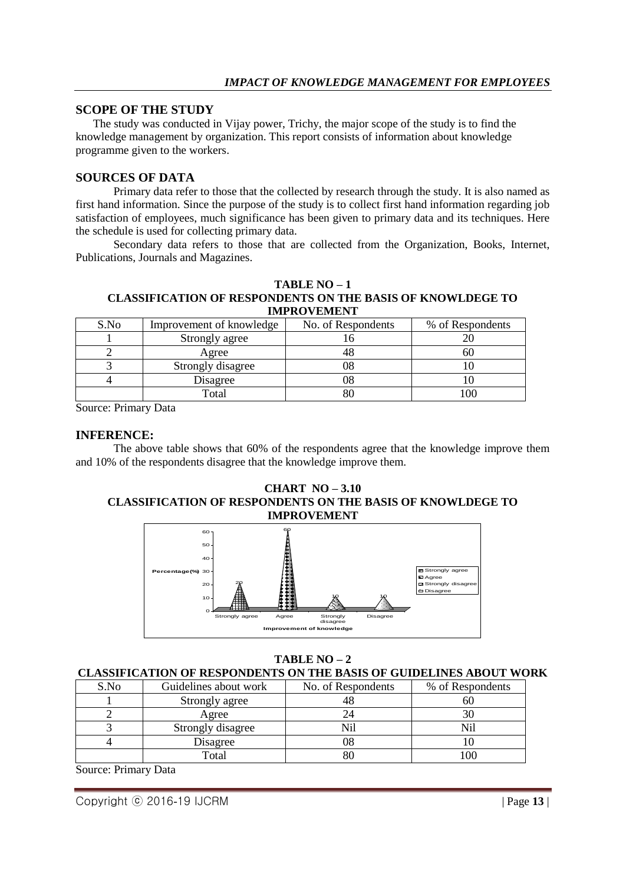## **SCOPE OF THE STUDY**

 The study was conducted in Vijay power, Trichy, the major scope of the study is to find the knowledge management by organization. This report consists of information about knowledge programme given to the workers.

### **SOURCES OF DATA**

Primary data refer to those that the collected by research through the study. It is also named as first hand information. Since the purpose of the study is to collect first hand information regarding job satisfaction of employees, much significance has been given to primary data and its techniques. Here the schedule is used for collecting primary data.

Secondary data refers to those that are collected from the Organization, Books, Internet, Publications, Journals and Magazines.

#### **TABLE NO – 1 CLASSIFICATION OF RESPONDENTS ON THE BASIS OF KNOWLDEGE TO IMPROVEMENT**

| S.No | Improvement of knowledge | No. of Respondents | % of Respondents |  |  |  |
|------|--------------------------|--------------------|------------------|--|--|--|
|      | Strongly agree           |                    |                  |  |  |  |
|      | Agree                    |                    |                  |  |  |  |
|      | Strongly disagree        |                    |                  |  |  |  |
|      | Disagree                 |                    |                  |  |  |  |
|      | Total                    |                    |                  |  |  |  |

Source: Primary Data

### **INFERENCE:**

The above table shows that 60% of the respondents agree that the knowledge improve them and 10% of the respondents disagree that the knowledge improve them.

#### **CHART NO – 3.10 CLASSIFICATION OF RESPONDENTS ON THE BASIS OF KNOWLDEGE TO IMPROVEMENT**



## **TABLE NO – 2**

#### **CLASSIFICATION OF RESPONDENTS ON THE BASIS OF GUIDELINES ABOUT WORK**

| S.No | Guidelines about work | No. of Respondents | % of Respondents |
|------|-----------------------|--------------------|------------------|
|      | Strongly agree        |                    | ы                |
|      | Agree                 |                    |                  |
|      | Strongly disagree     |                    |                  |
|      | Disagree              |                    |                  |
|      | Total                 |                    |                  |

Source: Primary Data

Copyright ⓒ 2016-19 IJCRM | Page **13** |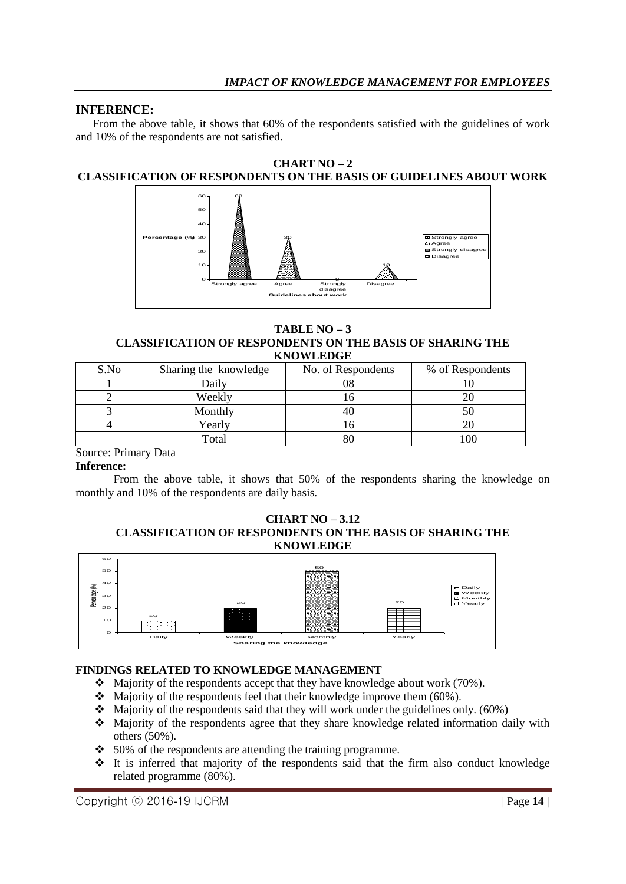## **INFERENCE:**

 From the above table, it shows that 60% of the respondents satisfied with the guidelines of work and 10% of the respondents are not satisfied.

#### **CHART NO – 2 CLASSIFICATION OF RESPONDENTS ON THE BASIS OF GUIDELINES ABOUT WORK**



**TABLE NO – 3 CLASSIFICATION OF RESPONDENTS ON THE BASIS OF SHARING THE KNOWLEDGE**

| S.No | Sharing the knowledge | No. of Respondents | % of Respondents |
|------|-----------------------|--------------------|------------------|
|      | Daily                 |                    |                  |
|      | Weekly                |                    |                  |
|      | Monthly               |                    |                  |
|      | Yearly                |                    |                  |
|      | Total                 |                    |                  |

## Source: Primary Data

#### **Inference:**

From the above table, it shows that 50% of the respondents sharing the knowledge on monthly and 10% of the respondents are daily basis.

#### **CHART NO – 3.12 CLASSIFICATION OF RESPONDENTS ON THE BASIS OF SHARING THE KNOWLEDGE**



## **FINDINGS RELATED TO KNOWLEDGE MANAGEMENT**

- Majority of the respondents accept that they have knowledge about work (70%).
- $\bullet$  Majority of the respondents feel that their knowledge improve them (60%).
- $\bullet$  Majority of the respondents said that they will work under the guidelines only. (60%)
- Majority of the respondents agree that they share knowledge related information daily with others (50%).
- $\div$  50% of the respondents are attending the training programme.
- It is inferred that majority of the respondents said that the firm also conduct knowledge related programme (80%).